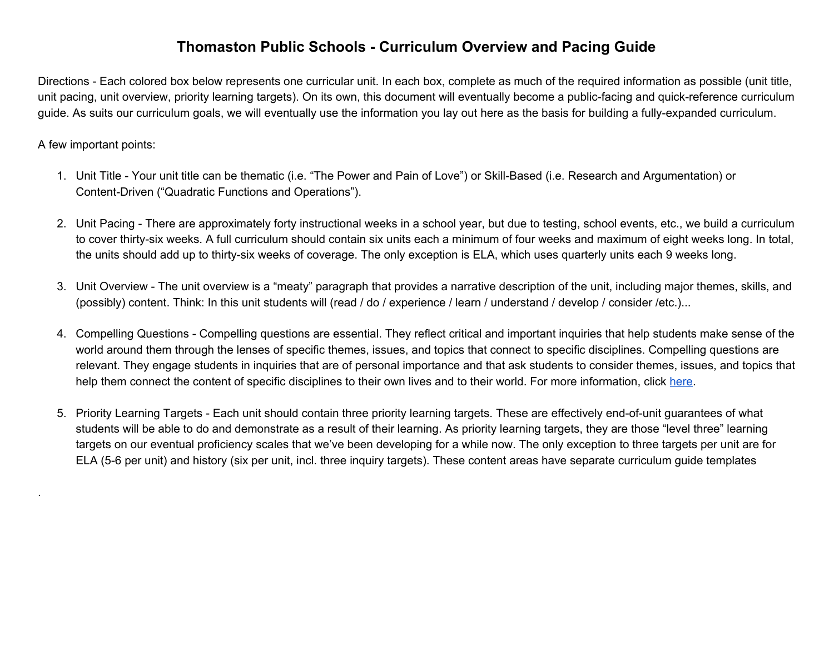## **Thomaston Public Schools - Curriculum Overview and Pacing Guide**

Directions - Each colored box below represents one curricular unit. In each box, complete as much of the required information as possible (unit title, unit pacing, unit overview, priority learning targets). On its own, this document will eventually become a public-facing and quick-reference curriculum guide. As suits our curriculum goals, we will eventually use the information you lay out here as the basis for building a fully-expanded curriculum.

## A few important points:

.

- 1. Unit Title Your unit title can be thematic (i.e. "The Power and Pain of Love") or Skill-Based (i.e. Research and Argumentation) or Content-Driven ("Quadratic Functions and Operations").
- 2. Unit Pacing There are approximately forty instructional weeks in a school year, but due to testing, school events, etc., we build a curriculum to cover thirty-six weeks. A full curriculum should contain six units each a minimum of four weeks and maximum of eight weeks long. In total, the units should add up to thirty-six weeks of coverage. The only exception is ELA, which uses quarterly units each 9 weeks long.
- 3. Unit Overview The unit overview is a "meaty" paragraph that provides a narrative description of the unit, including major themes, skills, and (possibly) content. Think: In this unit students will (read / do / experience / learn / understand / develop / consider /etc.)...
- 4. Compelling Questions Compelling questions are essential. They reflect critical and important inquiries that help students make sense of the world around them through the lenses of specific themes, issues, and topics that connect to specific disciplines. Compelling questions are relevant. They engage students in inquiries that are of personal importance and that ask students to consider themes, issues, and topics that help them connect the content of specific disciplines to their own lives and to their world. For more information, click [here.](https://docs.google.com/presentation/d/1MQeWg7v5tpC5e7Bm5vmcUhD1Q2tV9uzZum4JBNqLyjk/edit?usp=sharing)
- 5. Priority Learning Targets Each unit should contain three priority learning targets. These are effectively end-of-unit guarantees of what students will be able to do and demonstrate as a result of their learning. As priority learning targets, they are those "level three" learning targets on our eventual proficiency scales that we've been developing for a while now. The only exception to three targets per unit are for ELA (5-6 per unit) and history (six per unit, incl. three inquiry targets). These content areas have separate curriculum guide templates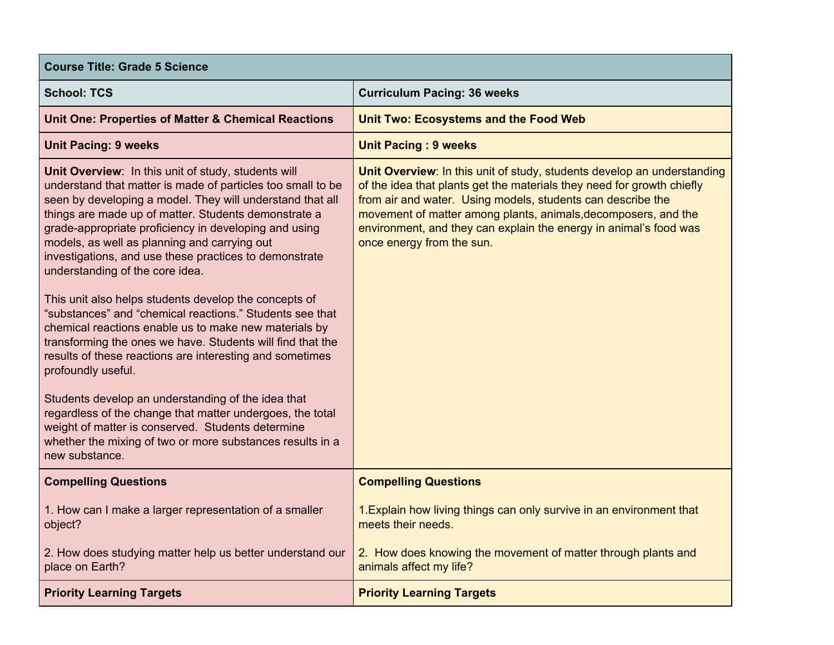| <b>Course Title: Grade 5 Science</b>                                                                                                                                                                                                                                                                                                                                                                                                                                                                                                                                                                                                                                                                                                                                                                                                                                                                                                                                                                                               |                                                                                                                                                                                                                                                                                                                                                                                      |
|------------------------------------------------------------------------------------------------------------------------------------------------------------------------------------------------------------------------------------------------------------------------------------------------------------------------------------------------------------------------------------------------------------------------------------------------------------------------------------------------------------------------------------------------------------------------------------------------------------------------------------------------------------------------------------------------------------------------------------------------------------------------------------------------------------------------------------------------------------------------------------------------------------------------------------------------------------------------------------------------------------------------------------|--------------------------------------------------------------------------------------------------------------------------------------------------------------------------------------------------------------------------------------------------------------------------------------------------------------------------------------------------------------------------------------|
| <b>School: TCS</b>                                                                                                                                                                                                                                                                                                                                                                                                                                                                                                                                                                                                                                                                                                                                                                                                                                                                                                                                                                                                                 | <b>Curriculum Pacing: 36 weeks</b>                                                                                                                                                                                                                                                                                                                                                   |
| <b>Unit One: Properties of Matter &amp; Chemical Reactions</b>                                                                                                                                                                                                                                                                                                                                                                                                                                                                                                                                                                                                                                                                                                                                                                                                                                                                                                                                                                     | <b>Unit Two: Ecosystems and the Food Web</b>                                                                                                                                                                                                                                                                                                                                         |
| <b>Unit Pacing: 9 weeks</b>                                                                                                                                                                                                                                                                                                                                                                                                                                                                                                                                                                                                                                                                                                                                                                                                                                                                                                                                                                                                        | <b>Unit Pacing: 9 weeks</b>                                                                                                                                                                                                                                                                                                                                                          |
| Unit Overview: In this unit of study, students will<br>understand that matter is made of particles too small to be<br>seen by developing a model. They will understand that all<br>things are made up of matter. Students demonstrate a<br>grade-appropriate proficiency in developing and using<br>models, as well as planning and carrying out<br>investigations, and use these practices to demonstrate<br>understanding of the core idea.<br>This unit also helps students develop the concepts of<br>"substances" and "chemical reactions." Students see that<br>chemical reactions enable us to make new materials by<br>transforming the ones we have. Students will find that the<br>results of these reactions are interesting and sometimes<br>profoundly useful.<br>Students develop an understanding of the idea that<br>regardless of the change that matter undergoes, the total<br>weight of matter is conserved. Students determine<br>whether the mixing of two or more substances results in a<br>new substance. | Unit Overview: In this unit of study, students develop an understanding<br>of the idea that plants get the materials they need for growth chiefly<br>from air and water. Using models, students can describe the<br>movement of matter among plants, animals, decomposers, and the<br>environment, and they can explain the energy in animal's food was<br>once energy from the sun. |
| <b>Compelling Questions</b>                                                                                                                                                                                                                                                                                                                                                                                                                                                                                                                                                                                                                                                                                                                                                                                                                                                                                                                                                                                                        | <b>Compelling Questions</b>                                                                                                                                                                                                                                                                                                                                                          |
| 1. How can I make a larger representation of a smaller<br>object?                                                                                                                                                                                                                                                                                                                                                                                                                                                                                                                                                                                                                                                                                                                                                                                                                                                                                                                                                                  | 1. Explain how living things can only survive in an environment that<br>meets their needs.                                                                                                                                                                                                                                                                                           |
| 2. How does studying matter help us better understand our<br>place on Earth?                                                                                                                                                                                                                                                                                                                                                                                                                                                                                                                                                                                                                                                                                                                                                                                                                                                                                                                                                       | 2. How does knowing the movement of matter through plants and<br>animals affect my life?                                                                                                                                                                                                                                                                                             |
| <b>Priority Learning Targets</b>                                                                                                                                                                                                                                                                                                                                                                                                                                                                                                                                                                                                                                                                                                                                                                                                                                                                                                                                                                                                   | <b>Priority Learning Targets</b>                                                                                                                                                                                                                                                                                                                                                     |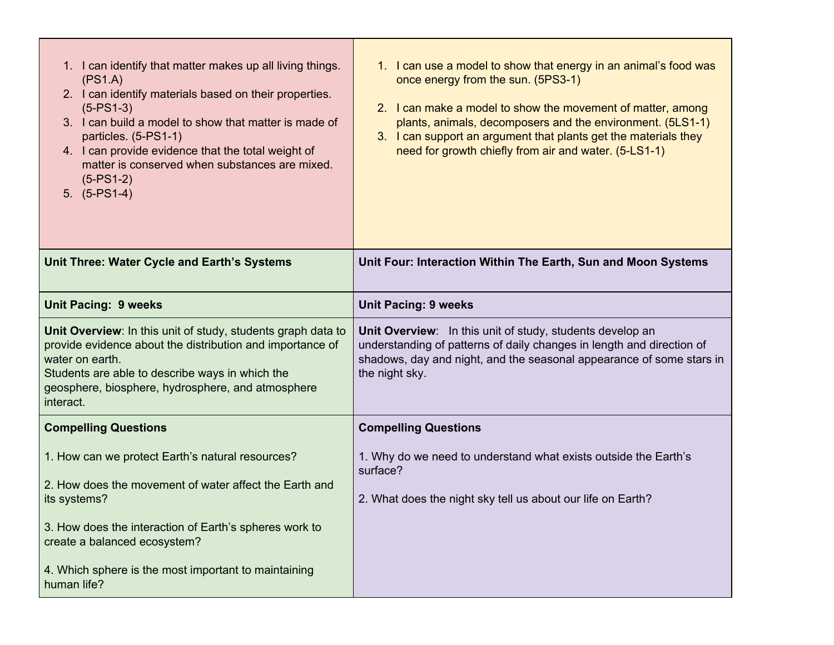| 1. I can identify that matter makes up all living things.<br>(PS1.A)<br>2. I can identify materials based on their properties.<br>$(5-PS1-3)$<br>3. I can build a model to show that matter is made of<br>particles. (5-PS1-1)<br>4. I can provide evidence that the total weight of<br>matter is conserved when substances are mixed.<br>$(5-PS1-2)$<br>$5. (5-PS1-4)$ | 1. I can use a model to show that energy in an animal's food was<br>once energy from the sun. (5PS3-1)<br>2. I can make a model to show the movement of matter, among<br>plants, animals, decomposers and the environment. (5LS1-1)<br>3. I can support an argument that plants get the materials they<br>need for growth chiefly from air and water. (5-LS1-1) |
|-------------------------------------------------------------------------------------------------------------------------------------------------------------------------------------------------------------------------------------------------------------------------------------------------------------------------------------------------------------------------|-----------------------------------------------------------------------------------------------------------------------------------------------------------------------------------------------------------------------------------------------------------------------------------------------------------------------------------------------------------------|
| Unit Three: Water Cycle and Earth's Systems                                                                                                                                                                                                                                                                                                                             | Unit Four: Interaction Within The Earth, Sun and Moon Systems                                                                                                                                                                                                                                                                                                   |
| <b>Unit Pacing: 9 weeks</b>                                                                                                                                                                                                                                                                                                                                             | <b>Unit Pacing: 9 weeks</b>                                                                                                                                                                                                                                                                                                                                     |
| Unit Overview: In this unit of study, students graph data to<br>provide evidence about the distribution and importance of<br>water on earth.<br>Students are able to describe ways in which the<br>geosphere, biosphere, hydrosphere, and atmosphere<br>interact.                                                                                                       | Unit Overview: In this unit of study, students develop an<br>understanding of patterns of daily changes in length and direction of<br>shadows, day and night, and the seasonal appearance of some stars in<br>the night sky.                                                                                                                                    |
| <b>Compelling Questions</b>                                                                                                                                                                                                                                                                                                                                             | <b>Compelling Questions</b>                                                                                                                                                                                                                                                                                                                                     |
| 1. How can we protect Earth's natural resources?<br>2. How does the movement of water affect the Earth and<br>its systems?<br>3. How does the interaction of Earth's spheres work to<br>create a balanced ecosystem?<br>4. Which sphere is the most important to maintaining                                                                                            | 1. Why do we need to understand what exists outside the Earth's<br>surface?<br>2. What does the night sky tell us about our life on Earth?                                                                                                                                                                                                                      |
| human life?                                                                                                                                                                                                                                                                                                                                                             |                                                                                                                                                                                                                                                                                                                                                                 |

÷,

<u> 1989 - Johann Stoff, deutscher Stoffen und der Stoffen und der Stoffen und der Stoffen und der Stoffen und der</u>

**Contract Contract**